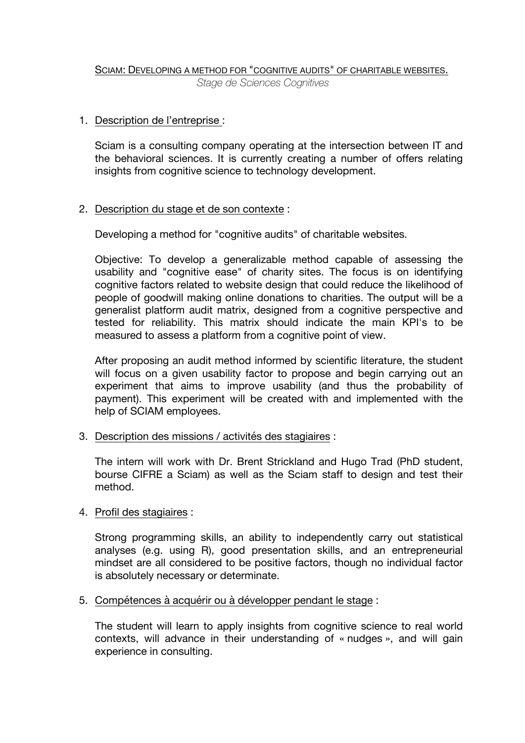## SCIAM: DEVELOPING A METHOD FOR "COGNITIVE AUDITS" OF CHARITABLE WEBSITES. *Stage de Sciences Cognitives*

## 1. Description de l'entreprise :

Sciam is a consulting company operating at the intersection between IT and the behavioral sciences. It is currently creating a number of offers relating insights from cognitive science to technology development.

## 2. Description du stage et de son contexte :

Developing a method for "cognitive audits" of charitable websites.

Objective: To develop a generalizable method capable of assessing the usability and "cognitive ease" of charity sites. The focus is on identifying cognitive factors related to website design that could reduce the likelihood of people of goodwill making online donations to charities. The output will be a generalist platform audit matrix, designed from a cognitive perspective and tested for reliability. This matrix should indicate the main KPI's to be measured to assess a platform from a cognitive point of view.

After proposing an audit method informed by scientific literature, the student will focus on a given usability factor to propose and begin carrying out an experiment that aims to improve usability (and thus the probability of payment). This experiment will be created with and implemented with the help of SCIAM employees.

3. Description des missions / activités des stagiaires :

The intern will work with Dr. Brent Strickland and Hugo Trad (PhD student, bourse CIFRE a Sciam) as well as the Sciam staff to design and test their method.

4. Profil des stagiaires :

Strong programming skills, an ability to independently carry out statistical analyses (e.g. using R), good presentation skills, and an entrepreneurial mindset are all considered to be positive factors, though no individual factor is absolutely necessary or determinate.

5. Compétences à acquérir ou à développer pendant le stage :

The student will learn to apply insights from cognitive science to real world contexts, will advance in their understanding of « nudges », and will gain experience in consulting.